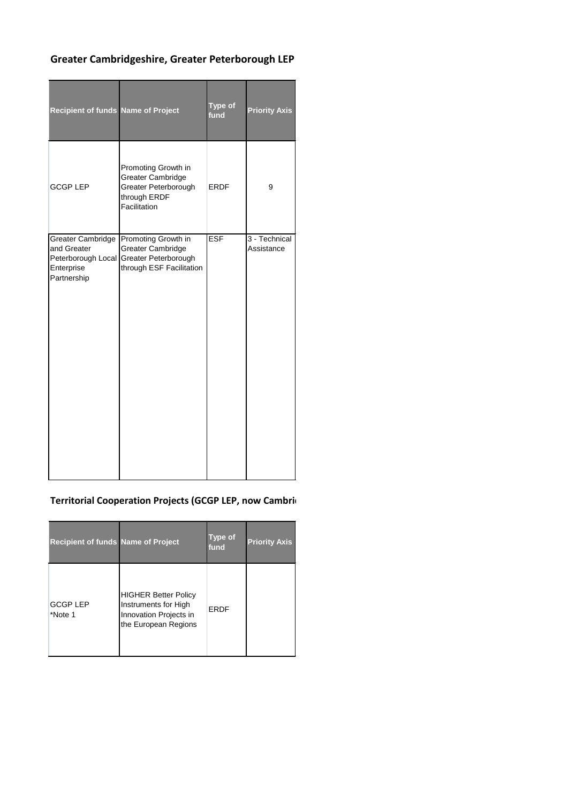## **Greater Cambridgeshire, Greater Peterborough LEP**

| <b>Recipient of funds Name of Project</b>                                                  |                                                                                                         | Type of<br>fund | <b>Priority Axis</b>        |
|--------------------------------------------------------------------------------------------|---------------------------------------------------------------------------------------------------------|-----------------|-----------------------------|
| <b>GCGP LEP</b>                                                                            | Promoting Growth in<br><b>Greater Cambridge</b><br>Greater Peterborough<br>through ERDF<br>Facilitation | <b>ERDF</b>     | 9                           |
| <b>Greater Cambridge</b><br>and Greater<br>Peterborough Local<br>Enterprise<br>Partnership | Promoting Growth in<br><b>Greater Cambridge</b><br>Greater Peterborough<br>through ESF Facilitation     | <b>ESF</b>      | 3 - Technical<br>Assistance |

## **Territorial Cooperation Projects (GCGP LEP, now Cambridge)**

| <b>Recipient of funds Name of Project</b> |                                                                                                       | <b>Type of</b><br>fund | <b>Priority Axis</b> |
|-------------------------------------------|-------------------------------------------------------------------------------------------------------|------------------------|----------------------|
| <b>GCGP LEP</b><br>*Note 1                | <b>HIGHER Better Policy</b><br>Instruments for High<br>Innovation Projects in<br>the European Regions | ERDF                   |                      |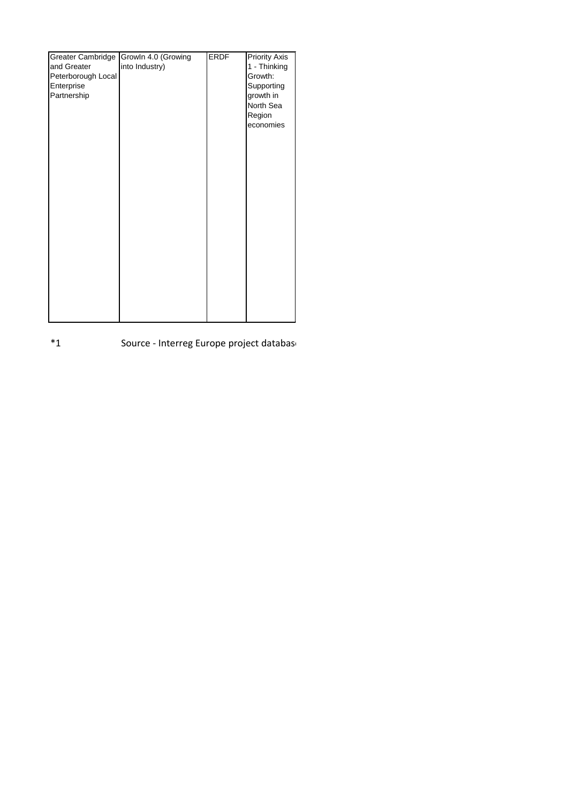| Greater Cambridge  | Growln 4.0 (Growing | <b>ERDF</b> | <b>Priority Axis</b> |
|--------------------|---------------------|-------------|----------------------|
| and Greater        | into Industry)      |             | 1 - Thinking         |
| Peterborough Local |                     |             | Growth:              |
| Enterprise         |                     |             | Supporting           |
| Partnership        |                     |             | growth in            |
|                    |                     |             |                      |
|                    |                     |             | North Sea            |
|                    |                     |             | Region               |
|                    |                     |             | economies            |
|                    |                     |             |                      |
|                    |                     |             |                      |
|                    |                     |             |                      |
|                    |                     |             |                      |
|                    |                     |             |                      |
|                    |                     |             |                      |
|                    |                     |             |                      |
|                    |                     |             |                      |
|                    |                     |             |                      |
|                    |                     |             |                      |
|                    |                     |             |                      |
|                    |                     |             |                      |
|                    |                     |             |                      |
|                    |                     |             |                      |
|                    |                     |             |                      |
|                    |                     |             |                      |
|                    |                     |             |                      |
|                    |                     |             |                      |
|                    |                     |             |                      |
|                    |                     |             |                      |
|                    |                     |             |                      |

\*1 Source - Interreg Europe project database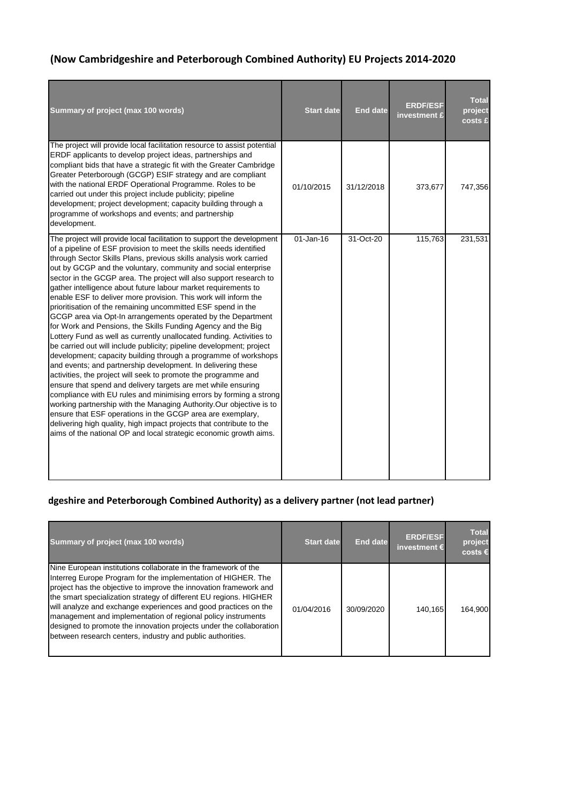## **(Now Cambridgeshire and Peterborough Combined Authority) EU Projects 2014-2020**

| Summary of project (max 100 words)                                                                                                                                                                                                                                                                                                                                                                                                                                                                                                                                                                                                                                                                                                                                                                                                                                                                                                                                                                                                                                                                                                                                                                                                                                                                                                                                                                                                                                             | <b>Start date</b> | <b>End date</b> | <b>ERDF/ESF</b><br>investment £ | <b>Total</b><br>project<br>costs £ |
|--------------------------------------------------------------------------------------------------------------------------------------------------------------------------------------------------------------------------------------------------------------------------------------------------------------------------------------------------------------------------------------------------------------------------------------------------------------------------------------------------------------------------------------------------------------------------------------------------------------------------------------------------------------------------------------------------------------------------------------------------------------------------------------------------------------------------------------------------------------------------------------------------------------------------------------------------------------------------------------------------------------------------------------------------------------------------------------------------------------------------------------------------------------------------------------------------------------------------------------------------------------------------------------------------------------------------------------------------------------------------------------------------------------------------------------------------------------------------------|-------------------|-----------------|---------------------------------|------------------------------------|
| The project will provide local facilitation resource to assist potential<br>ERDF applicants to develop project ideas, partnerships and<br>compliant bids that have a strategic fit with the Greater Cambridge<br>Greater Peterborough (GCGP) ESIF strategy and are compliant<br>with the national ERDF Operational Programme. Roles to be<br>carried out under this project include publicity; pipeline<br>development; project development; capacity building through a<br>programme of workshops and events; and partnership<br>development.                                                                                                                                                                                                                                                                                                                                                                                                                                                                                                                                                                                                                                                                                                                                                                                                                                                                                                                                 | 01/10/2015        | 31/12/2018      | 373,677                         | 747,356                            |
| The project will provide local facilitation to support the development<br>of a pipeline of ESF provision to meet the skills needs identified<br>through Sector Skills Plans, previous skills analysis work carried<br>out by GCGP and the voluntary, community and social enterprise<br>sector in the GCGP area. The project will also support research to<br>gather intelligence about future labour market requirements to<br>enable ESF to deliver more provision. This work will inform the<br>prioritisation of the remaining uncommitted ESF spend in the<br>GCGP area via Opt-In arrangements operated by the Department<br>for Work and Pensions, the Skills Funding Agency and the Big<br>Lottery Fund as well as currently unallocated funding. Activities to<br>be carried out will include publicity; pipeline development; project<br>development; capacity building through a programme of workshops<br>and events; and partnership development. In delivering these<br>activities, the project will seek to promote the programme and<br>ensure that spend and delivery targets are met while ensuring<br>compliance with EU rules and minimising errors by forming a strong<br>working partnership with the Managing Authority. Our objective is to<br>ensure that ESF operations in the GCGP area are exemplary,<br>delivering high quality, high impact projects that contribute to the<br>aims of the national OP and local strategic economic growth aims. | 01-Jan-16         | 31-Oct-20       | 115,763                         | 231,531                            |

## dgeshire and Peterborough Combined Authority) as a delivery partner (not lead partner)

| Summary of project (max 100 words)                                                                                                                                                                                                                                                                                                                                                                                                                                                                                                                | <b>Start date</b> | <b>End date</b> | <b>ERDF/ESF</b><br>investment $\epsilon$ | <b>Total</b><br>project<br>$costs \in$ |
|---------------------------------------------------------------------------------------------------------------------------------------------------------------------------------------------------------------------------------------------------------------------------------------------------------------------------------------------------------------------------------------------------------------------------------------------------------------------------------------------------------------------------------------------------|-------------------|-----------------|------------------------------------------|----------------------------------------|
| Nine European institutions collaborate in the framework of the<br>Interreg Europe Program for the implementation of HIGHER. The<br>project has the objective to improve the innovation framework and<br>the smart specialization strategy of different EU regions. HIGHER<br>will analyze and exchange experiences and good practices on the<br>management and implementation of regional policy instruments<br>designed to promote the innovation projects under the collaboration<br>between research centers, industry and public authorities. | 01/04/2016        | 30/09/2020      | 140.165                                  | 164.900                                |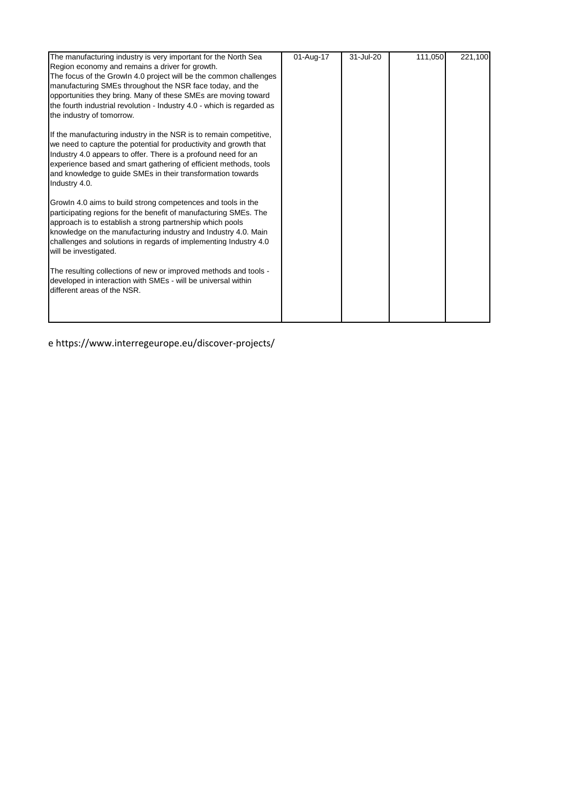| The manufacturing industry is very important for the North Sea<br>Region economy and remains a driver for growth.<br>The focus of the Growln 4.0 project will be the common challenges<br>manufacturing SMEs throughout the NSR face today, and the<br>opportunities they bring. Many of these SMEs are moving toward<br>the fourth industrial revolution - Industry 4.0 - which is regarded as<br>the industry of tomorrow. | 01-Aug-17 | 31-Jul-20 | 111,050 | 221,100 |
|------------------------------------------------------------------------------------------------------------------------------------------------------------------------------------------------------------------------------------------------------------------------------------------------------------------------------------------------------------------------------------------------------------------------------|-----------|-----------|---------|---------|
| If the manufacturing industry in the NSR is to remain competitive,<br>we need to capture the potential for productivity and growth that<br>Industry 4.0 appears to offer. There is a profound need for an<br>experience based and smart gathering of efficient methods, tools<br>and knowledge to guide SMEs in their transformation towards<br>Industry 4.0.                                                                |           |           |         |         |
| Growln 4.0 aims to build strong competences and tools in the<br>participating regions for the benefit of manufacturing SMEs. The<br>approach is to establish a strong partnership which pools<br>knowledge on the manufacturing industry and Industry 4.0. Main<br>challenges and solutions in regards of implementing Industry 4.0<br>will be investigated.                                                                 |           |           |         |         |
| The resulting collections of new or improved methods and tools -<br>developed in interaction with SMEs - will be universal within<br>different areas of the NSR.                                                                                                                                                                                                                                                             |           |           |         |         |

e https://www.interregeurope.eu/discover-projects/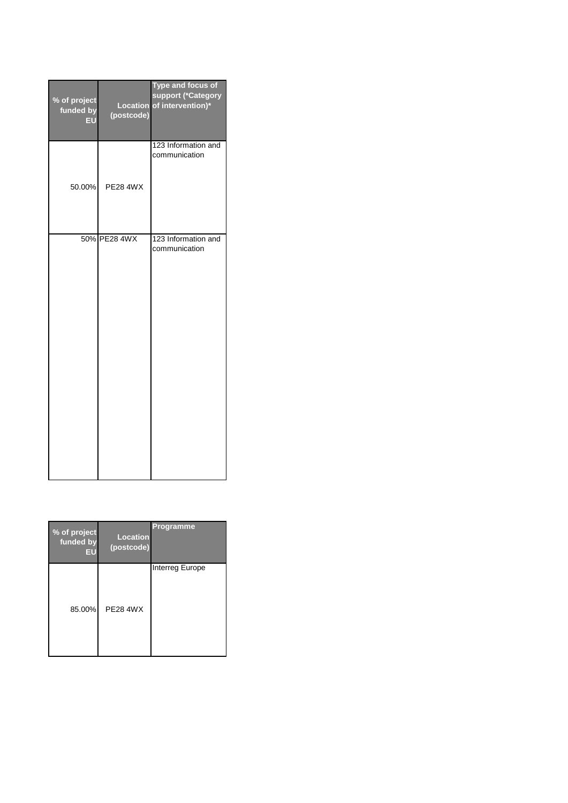| % of project<br>funded by<br>EU | (postcode)      | <b>Type and focus of</b><br>support (*Category<br>Location of intervention)* |
|---------------------------------|-----------------|------------------------------------------------------------------------------|
| 50.00%                          | <b>PE28 4WX</b> | 123 Information and<br>communication                                         |
|                                 | 50% PE28 4WX    | 123 Information and<br>communication                                         |

| % of project<br>funded by<br>EU | <b>Location</b><br>(postcode) | Programme              |
|---------------------------------|-------------------------------|------------------------|
| 85.00%                          | <b>PE28 4WX</b>               | <b>Interreg Europe</b> |